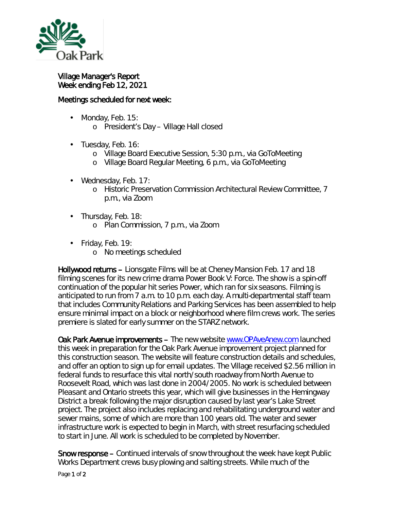

## Village Manager's Report Week ending Feb 12, 2021

## Meetings scheduled for next week:

- Monday, Feb. 15:  $\mathcal{L}^{\text{max}}$ 
	- o President's Day Village Hall closed
- . Tuesday, Feb. 16:
	- o Village Board Executive Session, 5:30 p.m., via GoToMeeting
	- o Village Board Regular Meeting, 6 p.m., via GoToMeeting
- Wednesday, Feb. 17: ä,
	- o Historic Preservation Commission Architectural Review Committee, 7 p.m., via Zoom
- . Thursday, Feb. 18:
	- o Plan Commission, 7 p.m., via Zoom
- Friday, Feb. 19:
	- o No meetings scheduled

Hollywood returns – Lionsgate Films will be at Cheney Mansion Feb. 17 and 18 filming scenes for its new crime drama *Power Book V: Force*. The show is a spin-off continuation of the popular hit series *Power*, which ran for six seasons. Filming is anticipated to run from 7 a.m. to 10 p.m. each day. A multi-departmental staff team that includes Community Relations and Parking Services has been assembled to help ensure minimal impact on a block or neighborhood where film crews work. The series premiere is slated for early summer on the STARZ network.

Oak Park Avenue improvements – The new website [www.OPAveAnew.com](http://www.opaveanew.com/) launched this week in preparation for the Oak Park Avenue improvement project planned for this construction season. The website will feature construction details and schedules, and offer an option to sign up for email updates. The Village received \$2.56 million in federal funds to resurface this vital north/south roadway from North Avenue to Roosevelt Road, which was last done in 2004/2005. No work is scheduled between Pleasant and Ontario streets this year, which will give businesses in the Hemingway District a break following the major disruption caused by last year's Lake Street project. The project also includes replacing and rehabilitating underground water and sewer mains, some of which are more than 100 years old. The water and sewer infrastructure work is expected to begin in March, with street resurfacing scheduled to start in June. All work is scheduled to be completed by November.

Snow response – Continued intervals of snow throughout the week have kept Public Works Department crews busy plowing and salting streets. While much of the